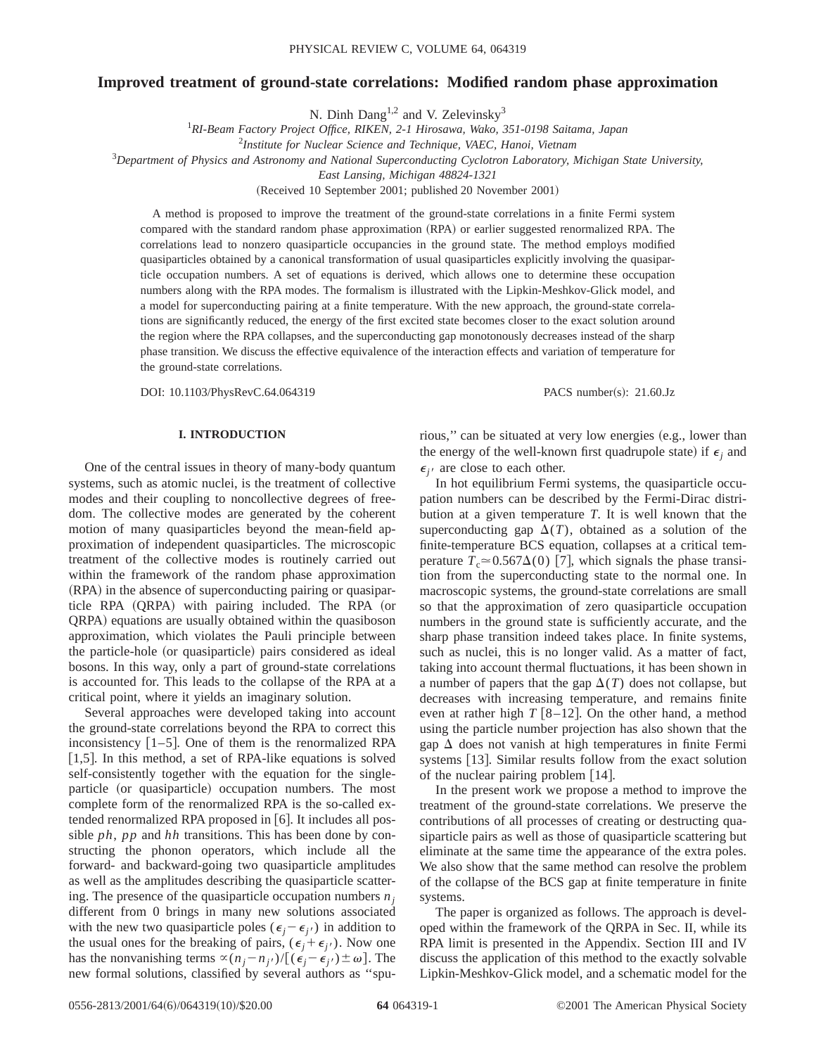# **Improved treatment of ground-state correlations: Modified random phase approximation**

N. Dinh Dang<sup>1,2</sup> and V. Zelevinsky<sup>3</sup>

1 *RI-Beam Factory Project Office, RIKEN, 2-1 Hirosawa, Wako, 351-0198 Saitama, Japan*

2 *Institute for Nuclear Science and Technique, VAEC, Hanoi, Vietnam*

3 *Department of Physics and Astronomy and National Superconducting Cyclotron Laboratory, Michigan State University,*

*East Lansing, Michigan 48824-1321*

(Received 10 September 2001; published 20 November 2001)

A method is proposed to improve the treatment of the ground-state correlations in a finite Fermi system compared with the standard random phase approximation (RPA) or earlier suggested renormalized RPA. The correlations lead to nonzero quasiparticle occupancies in the ground state. The method employs modified quasiparticles obtained by a canonical transformation of usual quasiparticles explicitly involving the quasiparticle occupation numbers. A set of equations is derived, which allows one to determine these occupation numbers along with the RPA modes. The formalism is illustrated with the Lipkin-Meshkov-Glick model, and a model for superconducting pairing at a finite temperature. With the new approach, the ground-state correlations are significantly reduced, the energy of the first excited state becomes closer to the exact solution around the region where the RPA collapses, and the superconducting gap monotonously decreases instead of the sharp phase transition. We discuss the effective equivalence of the interaction effects and variation of temperature for the ground-state correlations.

DOI: 10.1103/PhysRevC.64.064319 PACS number(s): 21.60.Jz

### **I. INTRODUCTION**

One of the central issues in theory of many-body quantum systems, such as atomic nuclei, is the treatment of collective modes and their coupling to noncollective degrees of freedom. The collective modes are generated by the coherent motion of many quasiparticles beyond the mean-field approximation of independent quasiparticles. The microscopic treatment of the collective modes is routinely carried out within the framework of the random phase approximation  $(RPA)$  in the absence of superconducting pairing or quasiparticle RPA (QRPA) with pairing included. The RPA (or QRPA) equations are usually obtained within the quasiboson approximation, which violates the Pauli principle between the particle-hole (or quasiparticle) pairs considered as ideal bosons. In this way, only a part of ground-state correlations is accounted for. This leads to the collapse of the RPA at a critical point, where it yields an imaginary solution.

Several approaches were developed taking into account the ground-state correlations beyond the RPA to correct this inconsistency  $[1-5]$ . One of them is the renormalized RPA [1,5]. In this method, a set of RPA-like equations is solved self-consistently together with the equation for the singleparticle (or quasiparticle) occupation numbers. The most complete form of the renormalized RPA is the so-called extended renormalized RPA proposed in  $[6]$ . It includes all possible *ph*, *pp* and *hh* transitions. This has been done by constructing the phonon operators, which include all the forward- and backward-going two quasiparticle amplitudes as well as the amplitudes describing the quasiparticle scattering. The presence of the quasiparticle occupation numbers  $n_i$ different from 0 brings in many new solutions associated with the new two quasiparticle poles ( $\epsilon_j - \epsilon_{j'}$ ) in addition to the usual ones for the breaking of pairs,  $(\epsilon_j + \epsilon_{j'})$ . Now one has the nonvanishing terms  $\alpha (n_j - n_{j'})/[(\epsilon_j - \epsilon_{j'}) \pm \omega]$ . The new formal solutions, classified by several authors as ''spurious," can be situated at very low energies (e.g., lower than the energy of the well-known first quadrupole state) if  $\epsilon_i$  and  $\epsilon_{i'}$  are close to each other.

In hot equilibrium Fermi systems, the quasiparticle occupation numbers can be described by the Fermi-Dirac distribution at a given temperature *T*. It is well known that the superconducting gap  $\Delta(T)$ , obtained as a solution of the finite-temperature BCS equation, collapses at a critical temperature  $T_c \approx 0.567\Delta(0)$  [7], which signals the phase transition from the superconducting state to the normal one. In macroscopic systems, the ground-state correlations are small so that the approximation of zero quasiparticle occupation numbers in the ground state is sufficiently accurate, and the sharp phase transition indeed takes place. In finite systems, such as nuclei, this is no longer valid. As a matter of fact, taking into account thermal fluctuations, it has been shown in a number of papers that the gap  $\Delta(T)$  does not collapse, but decreases with increasing temperature, and remains finite even at rather high  $T \left[ 8 - 12 \right]$ . On the other hand, a method using the particle number projection has also shown that the gap  $\Delta$  does not vanish at high temperatures in finite Fermi systems  $[13]$ . Similar results follow from the exact solution of the nuclear pairing problem  $[14]$ .

In the present work we propose a method to improve the treatment of the ground-state correlations. We preserve the contributions of all processes of creating or destructing quasiparticle pairs as well as those of quasiparticle scattering but eliminate at the same time the appearance of the extra poles. We also show that the same method can resolve the problem of the collapse of the BCS gap at finite temperature in finite systems.

The paper is organized as follows. The approach is developed within the framework of the QRPA in Sec. II, while its RPA limit is presented in the Appendix. Section III and IV discuss the application of this method to the exactly solvable Lipkin-Meshkov-Glick model, and a schematic model for the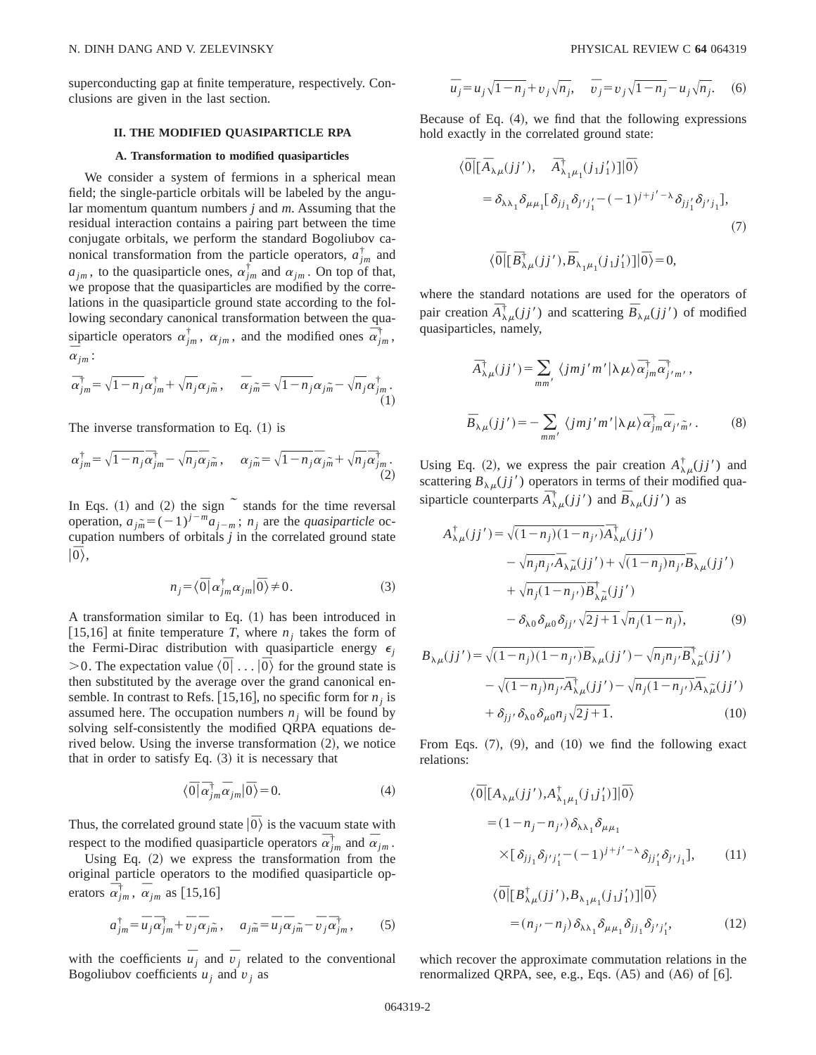superconducting gap at finite temperature, respectively. Conclusions are given in the last section.

#### **II. THE MODIFIED QUASIPARTICLE RPA**

### **A. Transformation to modified quasiparticles**

We consider a system of fermions in a spherical mean field; the single-particle orbitals will be labeled by the angular momentum quantum numbers *j* and *m*. Assuming that the residual interaction contains a pairing part between the time conjugate orbitals, we perform the standard Bogoliubov canonical transformation from the particle operators,  $a_{jm}^{\dagger}$  and  $a_{jm}$ , to the quasiparticle ones,  $\alpha_{jm}^{\dagger}$  and  $\alpha_{jm}$ . On top of that, we propose that the quasiparticles are modified by the correlations in the quasiparticle ground state according to the following secondary canonical transformation between the quasiparticle operators  $\alpha_{jm}^{\dagger}$ ,  $\alpha_{jm}$ , and the modified ones  $\alpha_{jm}^{\dagger}$ ,  $\frac{1}{\alpha}$ <sub>jm</sub>:

$$
\overline{\alpha}_{jm}^{\dagger} = \sqrt{1 - n_j} \alpha_{jm}^{\dagger} + \sqrt{n_j} \alpha_{jm}, \quad \overline{\alpha}_{jm} = \sqrt{1 - n_j} \alpha_{jm} - \sqrt{n_j} \alpha_{jm}^{\dagger}.
$$
\n(1)

The inverse transformation to Eq.  $(1)$  is

$$
\alpha_{jm}^{\dagger} = \sqrt{1-n_j} \overline{\alpha}_{jm}^{\dagger} - \sqrt{n_j} \overline{\alpha}_{jm}, \qquad \alpha_{jm} = \sqrt{1-n_j} \overline{\alpha}_{jm} + \sqrt{n_j} \overline{\alpha}_{jm}^{\dagger}.
$$
\n(2)

In Eqs.  $(1)$  and  $(2)$  the sign  $\tilde{ }$  stands for the time reversal operation,  $a_{j\tilde{m}} = (-1)^{j-m} a_{j-m}$ ;  $n_j$  are the *quasiparticle* occupation numbers of orbitals *j* in the correlated ground state |u<sup>r</sup><br>|0\,

$$
n_j = \langle \overline{0} | \alpha_{jm}^{\dagger} \alpha_{jm} | \overline{0} \rangle \neq 0. \tag{3}
$$

A transformation similar to Eq.  $(1)$  has been introduced in [15,16] at finite temperature *T*, where  $n_i$  takes the form of the Fermi-Dirac distribution with quasiparticle energy  $\epsilon_i$  $>0$ . The expectation value  $\langle \overline{0} | \dots | \overline{0} \rangle$  for the ground state is then substituted by the average over the grand canonical ensemble. In contrast to Refs. [15,16], no specific form for  $n_i$  is assumed here. The occupation numbers  $n_i$  will be found by solving self-consistently the modified QRPA equations derived below. Using the inverse transformation  $(2)$ , we notice that in order to satisfy Eq.  $(3)$  it is necessary that

$$
\langle \overline{0} | \overline{\alpha}_{jm}^{\dagger} \overline{\alpha}_{jm} | \overline{0} \rangle = 0. \tag{4}
$$

Thus, the correlated ground state  $|\bar{0}\rangle$  is the vacuum state with respect to the modified quasiparticle operators  $\vec{\alpha}_{jm}^{\dagger}$  and  $\vec{\alpha}_{jm}$ .

Using Eq.  $(2)$  we express the transformation from the original particle operators to the modified quasiparticle operators  $\overline{\alpha}_{jm}^{\dagger}$ ,  $\overline{\alpha}_{jm}$  as [15,16]

$$
a_{jm}^{\dagger} = \overline{u}_j \overline{\alpha}_{jm}^{\dagger} + \overline{v}_j \overline{\alpha}_{jm}, \quad a_{jm} = \overline{u}_j \overline{\alpha}_{jm} - \overline{v}_j \overline{\alpha}_{jm}^{\dagger}, \tag{5}
$$

with the coefficients  $\overline{u}_j$  and  $\overline{v}_j$  related to the conventional Bogoliubov coefficients  $u_i$  and  $v_j$  as

$$
\overline{u}_j = u_j \sqrt{1 - n_j} + v_j \sqrt{n_j}, \quad \overline{v}_j = v_j \sqrt{1 - n_j} - u_j \sqrt{n_j}.
$$
 (6)

Because of Eq.  $(4)$ , we find that the following expressions hold exactly in the correlated ground state:

$$
\langle \overline{0} | [\overline{A}_{\lambda\mu}(jj'), \overline{A}_{\lambda_1\mu_1}^{\dagger}(j_1j'_1)] | \overline{0} \rangle
$$
  
\n
$$
= \delta_{\lambda\lambda_1} \delta_{\mu\mu_1} [\delta_{jj_1} \delta_{j'j'_1} - (-1)^{j+j'-\lambda} \delta_{jj'_1} \delta_{j'j_1}],
$$
  
\n(7)  
\n
$$
\langle \overline{0} | [\overline{B}_{\lambda\mu}^{\dagger}(jj'), \overline{B}_{\lambda_1\mu_1}(j_1j'_1)] | \overline{0} \rangle = 0,
$$

where the standard notations are used for the operators of pair creation  $\overline{A}_{\lambda\mu}^{\dagger}(jj')$  and scattering  $\overline{B}_{\lambda\mu}(jj')$  of modified quasiparticles, namely,

$$
\overline{A}_{\lambda\mu}^{\dagger}(jj') = \sum_{mm'} \langle jmj'm'|\lambda\mu\rangle \overline{\alpha}_{jm}^{\dagger} \overline{\alpha}_{j'm'}^{\dagger},
$$
  

$$
\overline{B}_{\lambda\mu}(jj') = -\sum_{mm'} \langle jmj'm'|\lambda\mu\rangle \overline{\alpha}_{jm}^{\dagger} \overline{\alpha}_{j'm'}.
$$
 (8)

Using Eq. (2), we express the pair creation  $A^{\dagger}_{\lambda\mu}(jj')$  and scattering  $B_{\lambda\mu}(jj')$  operators in terms of their modified quasiparticle counterparts  $\overrightarrow{A}^{\dagger}_{\mu}(jj')$  and  $\overrightarrow{B}_{\lambda\mu}(jj')$  as

$$
A^{\dagger}_{\lambda\mu}(jj') = \sqrt{(1-n_j)(1-n_{j'})}\overline{A}^{\dagger}_{\lambda\mu}(jj')
$$
  
\n
$$
-\sqrt{n_jn_{j'}}\overline{A}_{\lambda\tilde{\mu}}(jj') + \sqrt{(1-n_j)n_{j'}}\overline{B}_{\lambda\mu}(jj')
$$
  
\n
$$
+\sqrt{n_j(1-n_{j'})}\overline{B}^{\dagger}_{\lambda\tilde{\mu}}(jj')
$$
  
\n
$$
-\delta_{\lambda 0}\delta_{\mu 0}\delta_{jj'}\sqrt{2j+1}\sqrt{n_j(1-n_j)},
$$
\n(9)

$$
B_{\lambda\mu}(jj') = \sqrt{(1-n_j)(1-n_{j'})}\overline{B}_{\lambda\mu}(jj') - \sqrt{n_jn_{j'}}\overline{B}_{\lambda\tilde{\mu}}^{\dagger}(jj')
$$

$$
-\sqrt{(1-n_j)n_{j'}}\overline{A}_{\lambda\mu}^{\dagger}(jj') - \sqrt{n_j(1-n_{j'})}\overline{A}_{\lambda\tilde{\mu}}^{\dagger}(jj')
$$

$$
+\delta_{jj'}\delta_{\lambda 0}\delta_{\mu 0}n_j\sqrt{2j+1}.
$$
 (10)

From Eqs.  $(7)$ ,  $(9)$ , and  $(10)$  we find the following exact relations:

$$
\langle \overline{0} | [A_{\lambda\mu}(jj'), A_{\lambda_1\mu_1}^{\dagger}(j_1j'_1)] | \overline{0} \rangle
$$
  
=  $(1 - n_j - n_{j'}) \delta_{\lambda\lambda_1} \delta_{\mu\mu_1}$   

$$
\times [\delta_{jj_1} \delta_{j'j'_1} - (-1)^{j+j'-\lambda} \delta_{jj'_1} \delta_{j'j_1}], \qquad (11)
$$

$$
\langle \overline{0} | [B^{\dagger}_{\lambda\mu}(jj'), B_{\lambda_1\mu_1}(j_1j'_1)] | \overline{0} \rangle
$$
  
=  $(n_{j'} - n_j) \delta_{\lambda\lambda_1} \delta_{\mu\mu_1} \delta_{jj_1} \delta_{j'j'_1},$  (12)

which recover the approximate commutation relations in the renormalized QRPA, see, e.g., Eqs.  $(A5)$  and  $(A6)$  of  $[6]$ .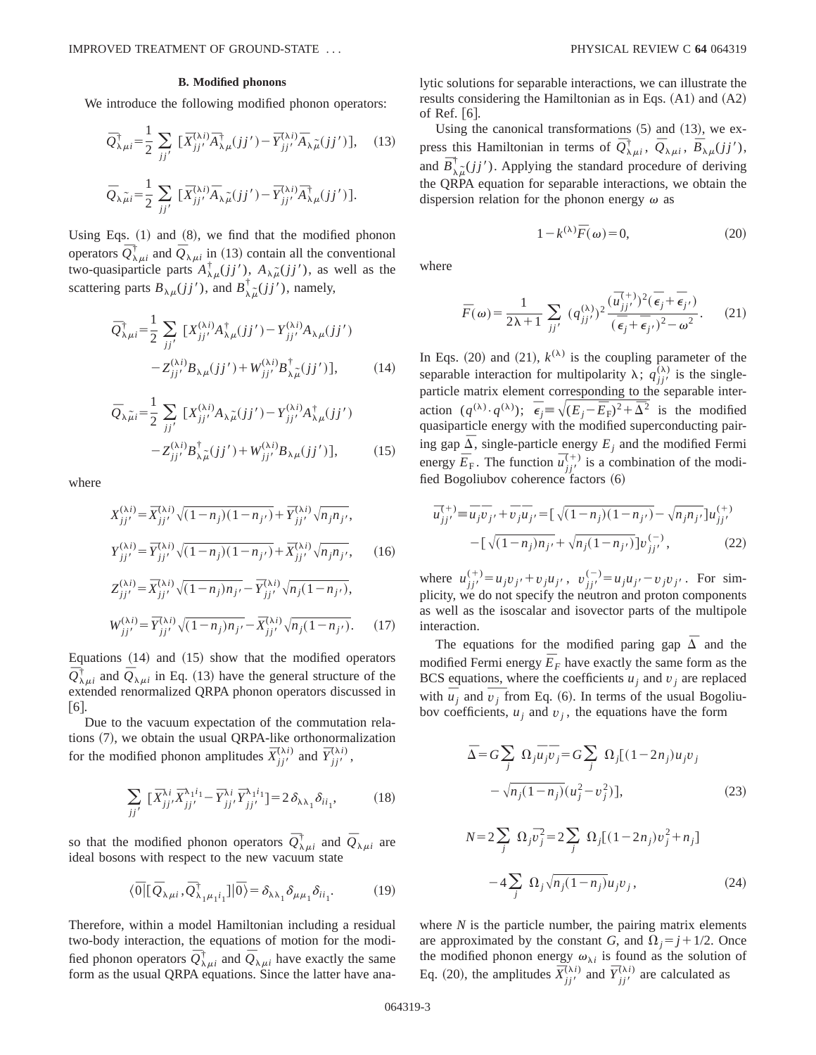#### **B. Modified phonons**

We introduce the following modified phonon operators:

$$
\overline{Q}_{\lambda\mu i}^{\dagger} = \frac{1}{2} \sum_{jj'} \left[ \overline{X}_{jj'}^{(\lambda i)} \overline{A}_{\lambda\mu}^{\dagger}(jj') - \overline{Y}_{jj'}^{(\lambda i)} \overline{A}_{\lambda\mu}^{\dagger}(jj') \right], \quad (13)
$$

$$
\overline{Q}_{\lambda\mu i} = \frac{1}{2} \sum_{jj'} \left[ \overline{X}_{jj'}^{(\lambda i)} \overline{A}_{\lambda\mu}^{\dagger}(jj') - \overline{Y}_{jj'}^{(\lambda i)} \overline{A}_{\lambda\mu}^{\dagger}(jj') \right].
$$

Using Eqs.  $(1)$  and  $(8)$ , we find that the modified phonon operators  $\overline{Q}^{\dagger}_{\lambda\mu i}$  and  $\overline{Q}^{\dagger}_{\lambda\mu i}$  in (13) contain all the conventional two-quasiparticle parts  $A^{\dagger}_{\lambda\mu}(jj')$ ,  $A_{\lambda\mu}(jj')$ , as well as the scattering parts  $B_{\lambda\mu}(jj')$ , and  $B_{\lambda\mu}^{\dagger}(jj')$ , namely,

$$
\bar{Q}_{\lambda\mu i}^{\dagger} = \frac{1}{2} \sum_{jj'} \left[ X_{jj'}^{(\lambda i)} A_{\lambda\mu}^{\dagger}(jj') - Y_{jj'}^{(\lambda i)} A_{\lambda\mu}(jj') \right. \\
\left. - Z_{jj'}^{(\lambda i)} B_{\lambda\mu}(jj') + W_{jj'}^{(\lambda i)} B_{\lambda\mu}^{\dagger}(jj') \right],\tag{14}
$$

$$
\bar{Q}_{\lambda\tilde{\mu}i} = \frac{1}{2} \sum_{jj'} \left[ X_{jj'}^{(\lambda i)} A_{\lambda\tilde{\mu}}(jj') - Y_{jj'}^{(\lambda i)} A_{\lambda\mu}^{\dagger}(jj') \right. \\
\left. - Z_{jj'}^{(\lambda i)} B_{\lambda\tilde{\mu}}^{\dagger}(jj') + W_{jj'}^{(\lambda i)} B_{\lambda\mu}(jj') \right],\n\tag{15}
$$

where

$$
X_{jj'}^{(\lambda i)} = \bar{X}_{jj'}^{(\lambda i)} \sqrt{(1 - n_j)(1 - n_{j'})} + \bar{Y}_{jj'}^{(\lambda i)} \sqrt{n_j n_{j'}},
$$
  
\n
$$
Y_{jj'}^{(\lambda i)} = \bar{Y}_{jj'}^{(\lambda i)} \sqrt{(1 - n_j)(1 - n_{j'})} + \bar{X}_{jj'}^{(\lambda i)} \sqrt{n_j n_{j'}},
$$
\n(16)

$$
Y_{jj'}^{(\lambda t)} = \overline{Y}_{jj'}^{(\lambda t)} \sqrt{(1 - n_j)(1 - n_{j'})} + \overline{X}_{jj'}^{(\lambda t)} \sqrt{n_j n_{j'}},
$$
 (16)  

$$
Z_{jj'}^{(\lambda i)} = \overline{X}_{jj'}^{(\lambda i)} \sqrt{(1 - n_j)n_{j'}} - \overline{Y}_{jj'}^{(\lambda i)} \sqrt{n_j (1 - n_{j'})},
$$

$$
W_{jj'}^{(\lambda i)} = \bar{Y}_{jj'}^{(\lambda i)} \sqrt{(1 - n_j)n_{j'}} - \bar{X}_{jj'}^{(\lambda i)} \sqrt{n_j (1 - n_{j'})}. \tag{17}
$$

Equations  $(14)$  and  $(15)$  show that the modified operators  $\overline{Q}^{\dagger}_{\lambda\mu i}$  and  $\overline{Q}^{\lambda}_{\lambda\mu i}$  in Eq. (13) have the general structure of the extended renormalized QRPA phonon operators discussed in  $[6]$ .

Due to the vacuum expectation of the commutation relations  $(7)$ , we obtain the usual QRPA-like orthonormalization for the modified phonon amplitudes  $\bar{X}^{(\lambda i)}_{j j'}$  and  $\bar{Y}^{(\lambda i)}_{j j'}$ ,

$$
\sum_{jj'} \ [\bar{X}_{jj'}^{\lambda i} \bar{X}_{jj'}^{\lambda_1 i_1} - \bar{Y}_{jj'}^{\lambda i} \bar{Y}_{jj'}^{\lambda_1 i_1}] = 2 \,\delta_{\lambda \lambda_1} \delta_{ii_1},\tag{18}
$$

so that the modified phonon operators  $\overline{Q}_{\lambda\mu i}^{\dagger}$  and  $\overline{Q}_{\lambda\mu i}$  are ideal bosons with respect to the new vacuum state

$$
\langle \overline{0} | [\overline{Q}_{\lambda\mu i}, \overline{Q}_{\lambda_1\mu_1 i_1}^{\dagger}] | \overline{0} \rangle = \delta_{\lambda\lambda_1} \delta_{\mu\mu_1} \delta_{i i_1}.
$$
 (19)

Therefore, within a model Hamiltonian including a residual two-body interaction, the equations of motion for the modified phonon operators  $\overline{Q}^{\dagger}_{\lambda\mu i}$  and  $\overline{Q}_{\lambda\mu i}$  have exactly the same form as the usual QRPA equations. Since the latter have analytic solutions for separable interactions, we can illustrate the results considering the Hamiltonian as in Eqs.  $(A1)$  and  $(A2)$ of Ref.  $\vert 6 \vert$ .

Using the canonical transformations  $(5)$  and  $(13)$ , we express this Hamiltonian in terms of  $\overline{Q}^{\dagger}_{\lambda\mu i}$ ,  $\overline{Q}_{\lambda\mu i}$ ,  $\overline{B}_{\lambda\mu}(jj')$ , and  $\overline{B}_{\lambda\mu}^{\dagger}(jj')$ . Applying the standard procedure of deriving the QRPA equation for separable interactions, we obtain the dispersion relation for the phonon energy  $\omega$  as

$$
1 - k^{(\lambda)} \overline{F}(\omega) = 0,\t(20)
$$

where

$$
\overline{F}(\omega) = \frac{1}{2\lambda + 1} \sum_{jj'} (q_{jj'}^{(\lambda)})^2 \frac{(\overline{u}_{jj'}^{(+)})^2 (\overline{\epsilon}_j + \overline{\epsilon}_{j'})}{(\overline{\epsilon}_j + \overline{\epsilon}_{j'})^2 - \omega^2}.
$$
 (21)

In Eqs. (20) and (21),  $k^{(\lambda)}$  is the coupling parameter of the separable interaction for multipolarity  $\lambda$ ;  $q_{jj'}^{(\lambda)}$  is the singleparticle matrix element corresponding to the separable interaction  $(q^{(\lambda)} \cdot q^{(\lambda)})$ ;  $\vec{\epsilon}_j \equiv \sqrt{(E_j - \bar{E}_F)^2 + \bar{\Delta}^2}$  is the modified quasiparticle energy with the modified superconducting pairing gap  $\Delta$ , single-particle energy  $E_i$  and the modified Fermi energy  $\bar{E}_F$ . The function  $\bar{u}_{jj'}^{(+)}$  is a combination of the modified Bogoliubov coherence factors  $(6)$ 

$$
\overline{u}_{jj'}^{(+)} \equiv \overline{u}_j \overline{v}_{j'} + \overline{v}_j \overline{u}_{j'} = \left[ \sqrt{(1 - n_j)(1 - n_{j'})} - \sqrt{n_j n_{j'}} \right] u_{jj'}^{(+)} - \left[ \sqrt{(1 - n_j)n_{j'}} + \sqrt{n_j(1 - n_{j'})} \right] v_{jj'}^{(-)},
$$
\n(22)

where  $u_{jj'}^{(+)} = u_j v_{j'} + v_j u_{j'}$ ,  $v_{jj'}^{(-)} = u_j u_{j'} - v_j v_{j'}$ . For simplicity, we do not specify the neutron and proton components as well as the isoscalar and isovector parts of the multipole interaction.

The equations for the modified paring gap  $\overline{\Delta}$  and the modified Fermi energy  $\overline{E}_F$  have exactly the same form as the BCS equations, where the coefficients  $u_j$  and  $v_j$  are replaced with  $\overline{u}_j$  and  $\overline{v}_j$  from Eq. (6). In terms of the usual Bogoliuwith  $\overline{u}_i$  and  $\overline{v}_i$  from Eq. (6). In terms of the usual Bogoliubov coefficients,  $u_j$  and  $v_j$ , the equations have the form

$$
\overline{\Delta} = G \sum_{j} \Omega_{j} \overline{u}_{j} \overline{v}_{j} = G \sum_{j} \Omega_{j} [(1 - 2n_{j}) u_{j} v_{j} - \sqrt{n_{j} (1 - n_{j})} (u_{j}^{2} - v_{j}^{2})],
$$
\n(23)

$$
N = 2\sum_{j} \Omega_{j} \overline{v}_{j}^{2} = 2\sum_{j} \Omega_{j} [(1 - 2n_{j})v_{j}^{2} + n_{j}]
$$

$$
-4\sum_{j} \Omega_{j} \sqrt{n_{j}(1 - n_{j})} u_{j} v_{j}, \qquad (24)
$$

where *N* is the particle number, the pairing matrix elements are approximated by the constant *G*, and  $\Omega_i = j + 1/2$ . Once the modified phonon energy  $\omega_{\lambda i}$  is found as the solution of Eq. (20), the amplitudes  $\overline{X}_{j j'}^{(\lambda i)}$  and  $\overline{Y}_{j j'}^{(\lambda i)}$  are calculated as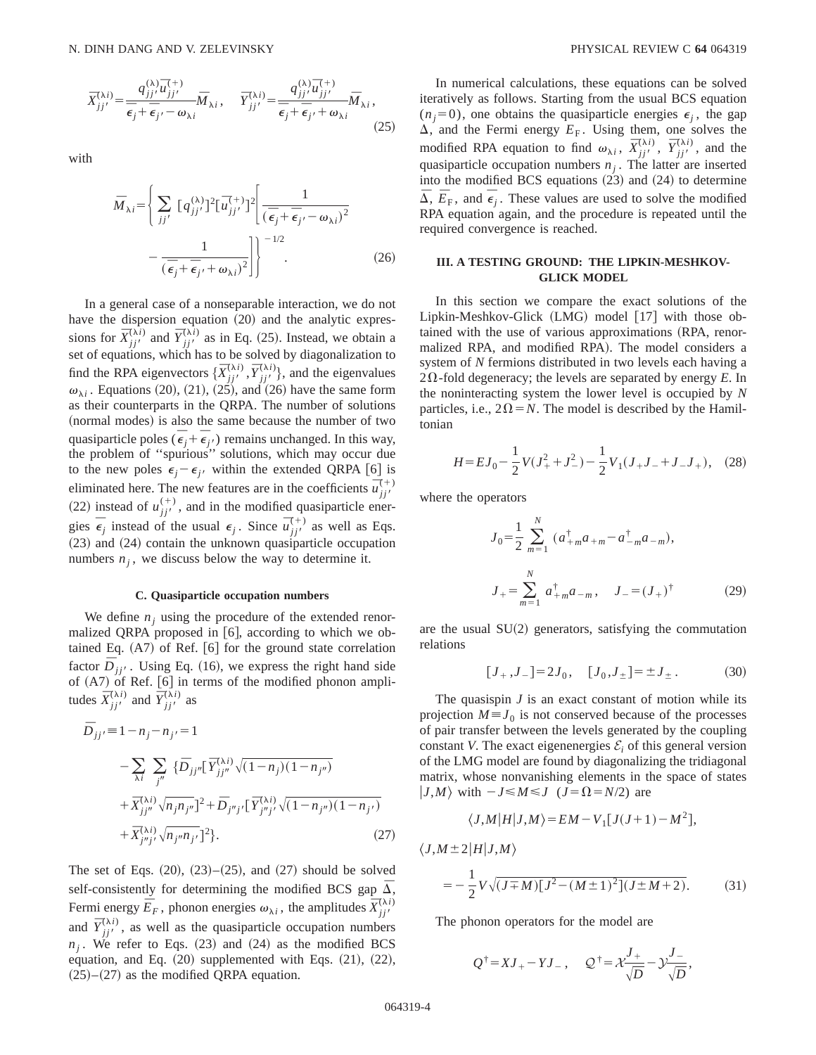$$
\bar{X}_{jj'}^{(\lambda i)} = \frac{q_{jj'}^{(\lambda)} \bar{u}_{jj'}^{(+)}}{\bar{\epsilon}_j + \bar{\epsilon}_{j'} - \omega_{\lambda i}} \bar{M}_{\lambda i}, \quad \bar{Y}_{jj'}^{(\lambda i)} = \frac{q_{jj'}^{(\lambda)} \bar{u}_{jj'}^{(+)}}{\bar{\epsilon}_j + \bar{\epsilon}_{j'} + \omega_{\lambda i}} \bar{M}_{\lambda i},
$$
\n(25)

with

$$
\bar{M}_{\lambda i} = \left\{ \sum_{jj'} \left[ q_{jj'}^{(\lambda)} \right]^2 \left[ \bar{u}_{jj'}^{(+)} \right]^2 \left[ \frac{1}{\left( \bar{\epsilon}_j + \bar{\epsilon}_{j'} - \omega_{\lambda i} \right)^2} - \frac{1}{\left( \bar{\epsilon}_j + \bar{\epsilon}_{j'} + \omega_{\lambda i} \right)^2} \right] \right\}^{-1/2}.
$$
\n(26)

In a general case of a nonseparable interaction, we do not have the dispersion equation  $(20)$  and the analytic expressions for  $\bar{X}^{(\lambda i)}_{jj'}$  and  $\bar{Y}^{(\lambda i)}_{jj'}$  as in Eq. (25). Instead, we obtain a set of equations, which has to be solved by diagonalization to find the RPA eigenvectors  $\{\overline{X}_{j}^{(\lambda i)}, \overline{Y}_{j j}^{(\lambda i)}\}$ , and the eigenvalues  $\omega_{\lambda i}$ . Equations (20), (21), (25), and (26) have the same form as their counterparts in the QRPA. The number of solutions (normal modes) is also the same because the number of two quasiparticle poles  $(\vec{\epsilon}_j + \vec{\epsilon}_{j'})$  remains unchanged. In this way, the problem of ''spurious'' solutions, which may occur due to the new poles  $\epsilon_i - \epsilon_{i'}$  within the extended QRPA [6] is eliminated here. The new features are in the coefficients  $\vec{u}_{jj'}^{(+)}$ (22) instead of  $u_{jj'}^{(+)}$ , and in the modified quasiparticle energies  $\overline{\epsilon}_j$  instead of the usual  $\epsilon_j$ . Since  $\overline{u}_{jj'}^{(+)}$  as well as Eqs.  $(23)$  and  $(24)$  contain the unknown quasiparticle occupation numbers  $n<sub>i</sub>$ , we discuss below the way to determine it.

### **C. Quasiparticle occupation numbers**

We define  $n_i$  using the procedure of the extended renormalized QRPA proposed in [6], according to which we obtained Eq.  $(A7)$  of Ref.  $[6]$  for the ground state correlation factor  $\overline{D}_{ji'}$ . Using Eq. (16), we express the right hand side of  $(A7)$  of Ref.  $[6]$  in terms of the modified phonon amplitudes  $\overline{X}_{jj'}^{(\lambda i)}$  and  $\overline{Y}_{jj'}^{(\lambda i)}$  as

$$
\bar{D}_{jj'} = 1 - n_j - n_{j'} = 1
$$
\n
$$
- \sum_{\lambda i} \sum_{j''} \{ \bar{D}_{jj''} [\bar{Y}_{jj''}^{(\lambda i)} \sqrt{(1 - n_j)(1 - n_{j''})} + \bar{X}_{jj''}^{(\lambda i)} \sqrt{n_j n_{j''}}]^2 + \bar{D}_{j''j'} [\bar{Y}_{j''j'}^{(\lambda i)} \sqrt{(1 - n_{j''})(1 - n_{j'})} + \bar{X}_{j''j'}^{(\lambda i)} \sqrt{n_{j''} n_{j'}}]^2 \}.
$$
\n(27)

The set of Eqs.  $(20)$ ,  $(23)$ – $(25)$ , and  $(27)$  should be solved self-consistently for determining the modified BCS gap  $\overline{\Delta}$ , Fermi energy  $\overline{E}_F$ , phonon energies  $\omega_{\lambda i}$ , the amplitudes  $\overline{X}_{jj'}^{(\lambda i)}$ and  $\overline{Y}_{jj'}^{(\lambda i)}$ , as well as the quasiparticle occupation numbers  $n_i$ . We refer to Eqs. (23) and (24) as the modified BCS equation, and Eq.  $(20)$  supplemented with Eqs.  $(21)$ ,  $(22)$ ,  $(25)–(27)$  as the modified QRPA equation.

In numerical calculations, these equations can be solved iteratively as follows. Starting from the usual BCS equation  $(n<sub>i</sub>=0)$ , one obtains the quasiparticle energies  $\epsilon_i$ , the gap  $\Delta$ , and the Fermi energy  $E_F$ . Using them, one solves the modified RPA equation to find  $\omega_{\lambda i}$ ,  $\overline{X}^{(\lambda i)}_{jj'}$ ,  $\overline{Y}^{(\lambda i)}_{jj'}$ , and the quasiparticle occupation numbers  $n_j$ . The latter are inserted into the modified BCS equations  $(23)$  and  $(24)$  to determine  $\overline{\Delta}$ ,  $\overline{E}_F$ , and  $\overline{\epsilon}_j$ . These values are used to solve the modified RPA equation again, and the procedure is repeated until the required convergence is reached.

## **III. A TESTING GROUND: THE LIPKIN-MESHKOV-GLICK MODEL**

In this section we compare the exact solutions of the Lipkin-Meshkov-Glick  $(LMG)$  model  $[17]$  with those obtained with the use of various approximations (RPA, renormalized RPA, and modified RPA). The model considers a system of *N* fermions distributed in two levels each having a  $2\Omega$ -fold degeneracy; the levels are separated by energy *E*. In the noninteracting system the lower level is occupied by *N* particles, i.e.,  $2\Omega = N$ . The model is described by the Hamiltonian

$$
H = EJ_0 - \frac{1}{2}V(J_+^2 + J_-^2) - \frac{1}{2}V_1(J_+J_- + J_-J_+), \quad (28)
$$

where the operators

$$
J_0 = \frac{1}{2} \sum_{m=1}^{N} (a_{+m}^{\dagger} a_{+m} - a_{-m}^{\dagger} a_{-m}),
$$
  

$$
J_+ = \sum_{m=1}^{N} a_{+m}^{\dagger} a_{-m}, \quad J_- = (J_+)^{\dagger}
$$
 (29)

are the usual  $SU(2)$  generators, satisfying the commutation relations

$$
[J_+, J_-] = 2J_0, \quad [J_0, J_\pm] = \pm J_\pm. \tag{30}
$$

The quasispin *J* is an exact constant of motion while its projection  $M \equiv J_0$  is not conserved because of the processes of pair transfer between the levels generated by the coupling constant *V*. The exact eigenenergies  $\mathcal{E}_i$  of this general version of the LMG model are found by diagonalizing the tridiagonal matrix, whose nonvanishing elements in the space of states  $|J,M\rangle$  with  $-J \le M \le J$  ( $J=\Omega=N/2$ ) are

$$
\langle J,M|H|J,M\rangle = EM - V_1[J(J+1) - M^2],
$$

$$
\langle J, M \pm 2 | H | J, M \rangle
$$
  
=  $-\frac{1}{2} V \sqrt{(J \mp M) [J^2 - (M \pm 1)^2] (J \pm M + 2)}.$  (31)

The phonon operators for the model are

$$
Q^{\dagger} = XJ_{+} - YJ_{-}
$$
,  $Q^{\dagger} = X \frac{J_{+}}{\sqrt{D}} - Y \frac{J_{-}}{\sqrt{D}}$ ,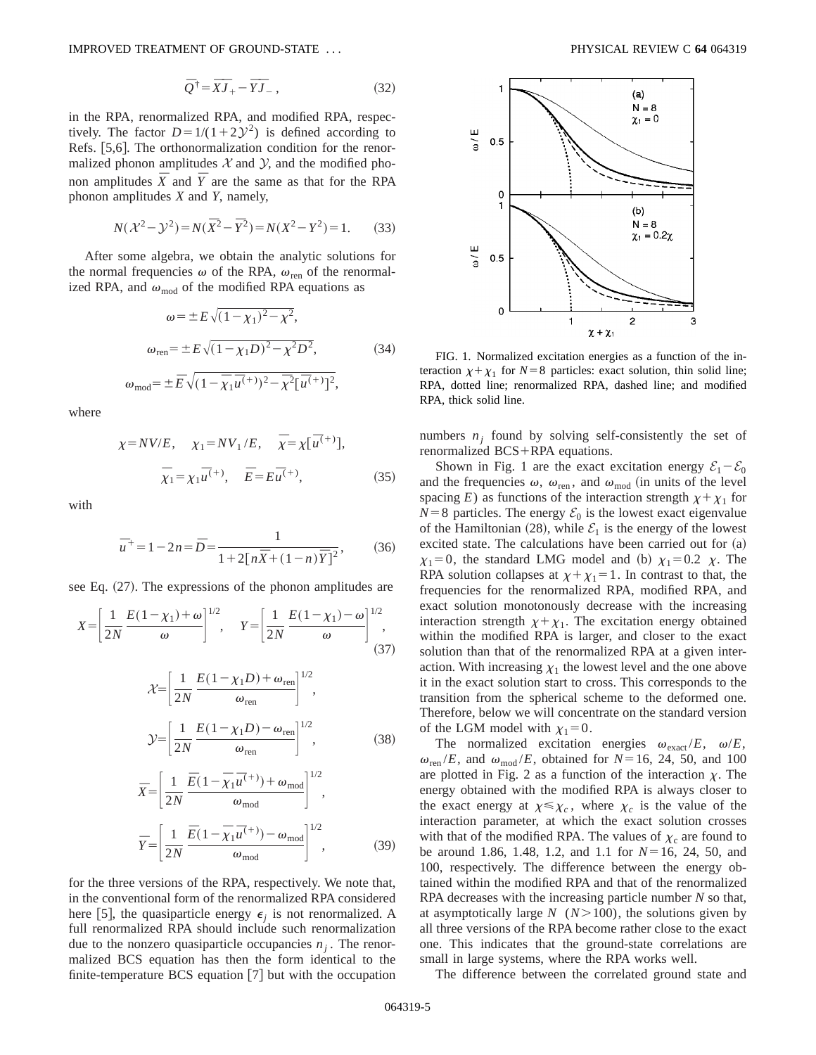$$
\overline{Q}^{\dagger} = \overline{X}\overline{J}_{+} - \overline{Y}\overline{J}_{-} , \qquad (32)
$$

in the RPA, renormalized RPA, and modified RPA, respectively. The factor  $D=1/(1+2\mathcal{Y}^2)$  is defined according to Refs. [5,6]. The orthonormalization condition for the renormalized phonon amplitudes  $X$  and  $Y$ , and the modified phonon amplitudes  $\overline{X}$  and  $\overline{Y}$  are the same as that for the RPA phonon amplitudes *X* and *Y*, namely,

$$
N(\mathcal{X}^2 - \mathcal{Y}^2) = N(\bar{X}^2 - \bar{Y}^2) = N(X^2 - Y^2) = 1.
$$
 (33)

After some algebra, we obtain the analytic solutions for the normal frequencies  $\omega$  of the RPA,  $\omega_{\text{ren}}$  of the renormalized RPA, and  $\omega_{mod}$  of the modified RPA equations as

$$
\omega = \pm E \sqrt{(1 - \chi_1)^2 - \chi^2},
$$
  
\n
$$
\omega_{\text{ren}} = \pm E \sqrt{(1 - \chi_1 D)^2 - \chi^2 D^2},
$$
\n(34)

$$
\omega_{\text{mod}} = \pm \, \bar{E} \sqrt{(1 - \bar{\chi}_1 \bar{u}^{(+)})^2 - \bar{\chi}^2 [\bar{u}^{(+)}]^2},
$$

where

$$
\chi = NV/E, \quad \chi_1 = NV_1/E, \quad \overline{\chi} = \chi[\overline{u}^{(+)}],
$$
  
 $\overline{\chi}_1 = \chi_1 \overline{u}^{(+)}, \quad \overline{E} = E\overline{u}^{(+)},$  (35)

with

$$
\bar{u}^+ = 1 - 2n = \bar{D} = \frac{1}{1 + 2[n\bar{X} + (1 - n)\bar{Y}]^2},
$$
(36)

see Eq.  $(27)$ . The expressions of the phonon amplitudes are

$$
X = \left[\frac{1}{2N} \frac{E(1 - \chi_1) + \omega}{\omega}\right]^{1/2}, \quad Y = \left[\frac{1}{2N} \frac{E(1 - \chi_1) - \omega}{\omega}\right]^{1/2},
$$
\n(37)

$$
\mathcal{X} = \left[ \frac{1}{2N} \frac{E(1 - \chi_1 D) + \omega_{\text{ren}}}{\omega_{\text{ren}}} \right]^{1/2},
$$
  

$$
\mathcal{Y} = \left[ \frac{1}{2N} \frac{E(1 - \chi_1 D) - \omega_{\text{ren}}}{\omega_{\text{ren}}} \right]^{1/2},
$$
(38)

$$
\bar{X} = \left[ \frac{1}{2N} \frac{\bar{E} (1 - \bar{\chi}_1 \bar{u}^{(+)}) + \omega_{\text{mod}}}{\omega_{\text{mod}}} \right]^{1/2},
$$
\n
$$
\bar{Y} = \left[ \frac{1}{2N} \frac{\bar{E} (1 - \bar{\chi}_1 \bar{u}^{(+)}) - \omega_{\text{mod}}}{\omega_{\text{mod}}} \right]^{1/2},
$$
\n(39)

for the three versions of the RPA, respectively. We note that, in the conventional form of the renormalized RPA considered here [5], the quasiparticle energy  $\epsilon_i$  is not renormalized. A full renormalized RPA should include such renormalization due to the nonzero quasiparticle occupancies  $n<sub>i</sub>$ . The renormalized BCS equation has then the form identical to the finite-temperature BCS equation  $[7]$  but with the occupation



FIG. 1. Normalized excitation energies as a function of the interaction  $\chi + \chi_1$  for *N*=8 particles: exact solution, thin solid line; RPA, dotted line; renormalized RPA, dashed line; and modified RPA, thick solid line.

numbers  $n_i$  found by solving self-consistently the set of renormalized  $BCS+RPA$  equations.

Shown in Fig. 1 are the exact excitation energy  $\mathcal{E}_1 - \mathcal{E}_0$ and the frequencies  $\omega$ ,  $\omega_{\text{ren}}$ , and  $\omega_{\text{mod}}$  (in units of the level spacing *E*) as functions of the interaction strength  $\chi + \chi_1$  for  $N=8$  particles. The energy  $\mathcal{E}_0$  is the lowest exact eigenvalue of the Hamiltonian (28), while  $\mathcal{E}_1$  is the energy of the lowest excited state. The calculations have been carried out for  $(a)$  $\chi_1=0$ , the standard LMG model and (b)  $\chi_1=0.2$   $\chi$ . The RPA solution collapses at  $\chi + \chi_1 = 1$ . In contrast to that, the frequencies for the renormalized RPA, modified RPA, and exact solution monotonously decrease with the increasing interaction strength  $\chi + \chi_1$ . The excitation energy obtained within the modified RPA is larger, and closer to the exact solution than that of the renormalized RPA at a given interaction. With increasing  $\chi_1$  the lowest level and the one above it in the exact solution start to cross. This corresponds to the transition from the spherical scheme to the deformed one. Therefore, below we will concentrate on the standard version of the LGM model with  $\chi_1=0$ .

The normalized excitation energies  $\omega_{\text{exact}}/E$ ,  $\omega/E$ ,  $\omega_{\text{ren}}/E$ , and  $\omega_{\text{mod}}/E$ , obtained for  $N=16$ , 24, 50, and 100 are plotted in Fig. 2 as a function of the interaction  $\chi$ . The energy obtained with the modified RPA is always closer to the exact energy at  $\chi \leq \chi_c$ , where  $\chi_c$  is the value of the interaction parameter, at which the exact solution crosses with that of the modified RPA. The values of  $\chi_c$  are found to be around 1.86, 1.48, 1.2, and 1.1 for  $N=16$ , 24, 50, and 100, respectively. The difference between the energy obtained within the modified RPA and that of the renormalized RPA decreases with the increasing particle number *N* so that, at asymptotically large  $N$  ( $N>100$ ), the solutions given by all three versions of the RPA become rather close to the exact one. This indicates that the ground-state correlations are small in large systems, where the RPA works well.

The difference between the correlated ground state and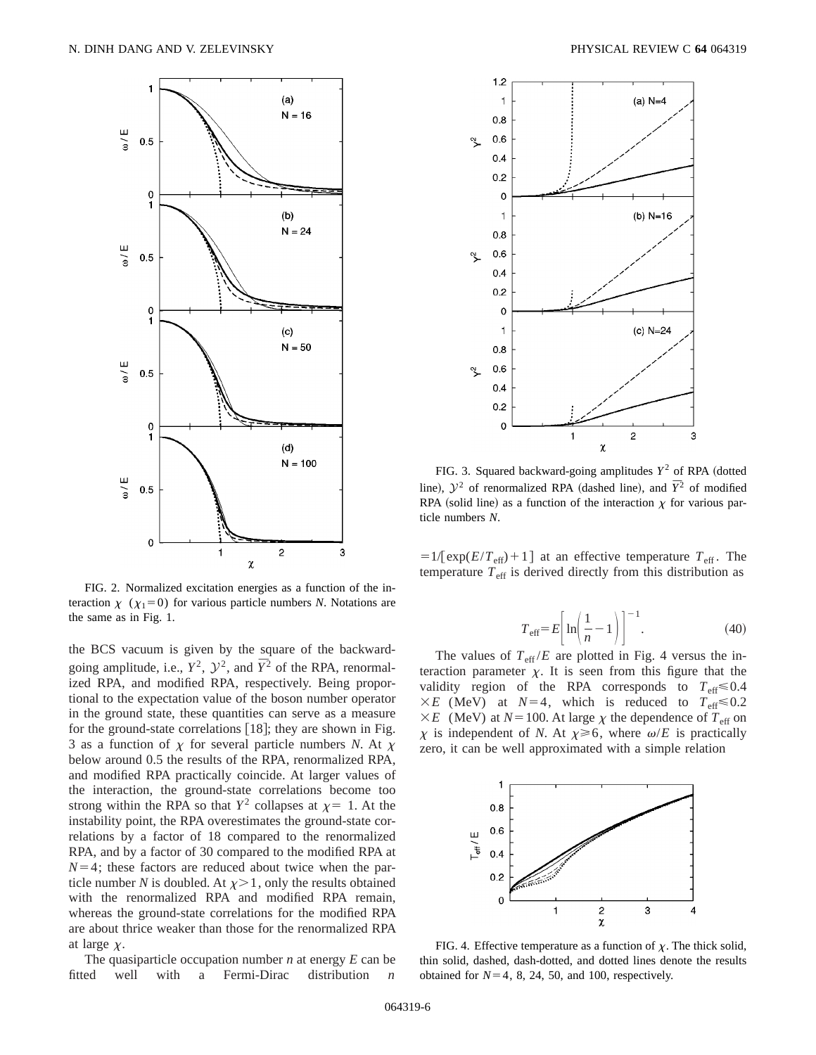

FIG. 2. Normalized excitation energies as a function of the interaction  $\chi$  ( $\chi_1=0$ ) for various particle numbers *N*. Notations are the same as in Fig. 1.

the BCS vacuum is given by the square of the backwardgoing amplitude, i.e.,  $Y^2$ ,  $Y^2$ , and  $\overline{Y}^2$  of the RPA, renormalized RPA, and modified RPA, respectively. Being proportional to the expectation value of the boson number operator in the ground state, these quantities can serve as a measure for the ground-state correlations  $[18]$ ; they are shown in Fig. 3 as a function of  $\chi$  for several particle numbers *N*. At  $\chi$ below around 0.5 the results of the RPA, renormalized RPA, and modified RPA practically coincide. At larger values of the interaction, the ground-state correlations become too strong within the RPA so that  $Y^2$  collapses at  $\chi=1$ . At the instability point, the RPA overestimates the ground-state correlations by a factor of 18 compared to the renormalized RPA, and by a factor of 30 compared to the modified RPA at  $N=4$ ; these factors are reduced about twice when the particle number *N* is doubled. At  $\chi$  > 1, only the results obtained with the renormalized RPA and modified RPA remain, whereas the ground-state correlations for the modified RPA are about thrice weaker than those for the renormalized RPA at large  $\chi$ .

The quasiparticle occupation number *n* at energy *E* can be fitted well with a Fermi-Dirac distribution *n*



FIG. 3. Squared backward-going amplitudes  $Y^2$  of RPA (dotted line),  $\mathcal{Y}^2$  of renormalized RPA (dashed line), and  $\bar{Y}^2$  of modified RPA (solid line) as a function of the interaction  $\chi$  for various particle numbers *N*.

 $=1/[exp(E/T_{eff})+1]$  at an effective temperature  $T_{eff}$ . The temperature  $T_{\text{eff}}$  is derived directly from this distribution as

$$
T_{\text{eff}} = E \left[ \ln \left( \frac{1}{n} - 1 \right) \right]^{-1}.
$$
 (40)

The values of  $T_{\text{eff}}/E$  are plotted in Fig. 4 versus the interaction parameter  $\chi$ . It is seen from this figure that the validity region of the RPA corresponds to  $T_{\text{eff}} \le 0.4$  $\times E$  (MeV) at *N*=4, which is reduced to  $T_{\text{eff}} \le 0.2$  $\times E$  (MeV) at *N* = 100. At large  $\chi$  the dependence of  $T_{\text{eff}}$  on x is independent of N. At  $\chi \ge 6$ , where  $\omega/E$  is practically zero, it can be well approximated with a simple relation



FIG. 4. Effective temperature as a function of  $\chi$ . The thick solid, thin solid, dashed, dash-dotted, and dotted lines denote the results obtained for  $N=4$ , 8, 24, 50, and 100, respectively.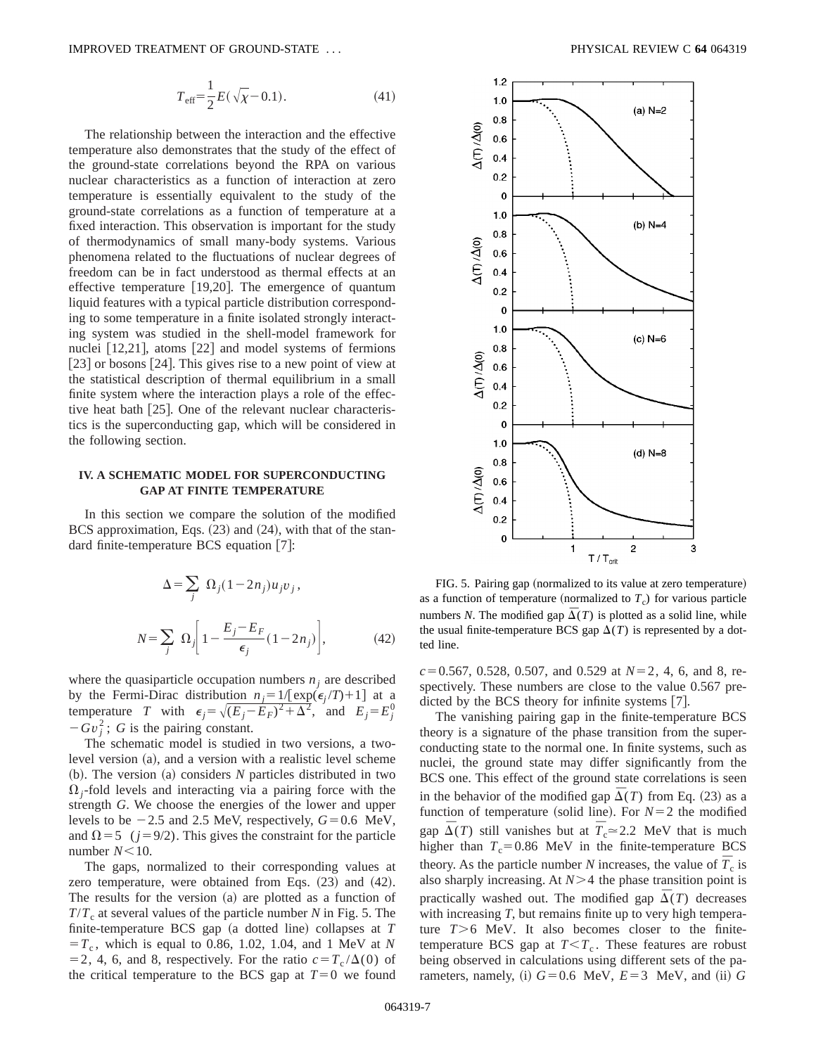$$
T_{\text{eff}} = \frac{1}{2} E(\sqrt{\chi} - 0.1). \tag{41}
$$

The relationship between the interaction and the effective temperature also demonstrates that the study of the effect of the ground-state correlations beyond the RPA on various nuclear characteristics as a function of interaction at zero temperature is essentially equivalent to the study of the ground-state correlations as a function of temperature at a fixed interaction. This observation is important for the study of thermodynamics of small many-body systems. Various phenomena related to the fluctuations of nuclear degrees of freedom can be in fact understood as thermal effects at an effective temperature  $[19,20]$ . The emergence of quantum liquid features with a typical particle distribution corresponding to some temperature in a finite isolated strongly interacting system was studied in the shell-model framework for nuclei  $[12,21]$ , atoms  $[22]$  and model systems of fermions  $[23]$  or bosons  $[24]$ . This gives rise to a new point of view at the statistical description of thermal equilibrium in a small finite system where the interaction plays a role of the effective heat bath  $[25]$ . One of the relevant nuclear characteristics is the superconducting gap, which will be considered in the following section.

## **IV. A SCHEMATIC MODEL FOR SUPERCONDUCTING GAP AT FINITE TEMPERATURE**

In this section we compare the solution of the modified BCS approximation, Eqs.  $(23)$  and  $(24)$ , with that of the standard finite-temperature BCS equation  $[7]$ :

$$
\Delta = \sum_{j} \Omega_{j} (1 - 2n_{j}) u_{j} v_{j},
$$
  

$$
N = \sum_{j} \Omega_{j} \left[ 1 - \frac{E_{j} - E_{F}}{\epsilon_{j}} (1 - 2n_{j}) \right],
$$
 (42)

where the quasiparticle occupation numbers  $n<sub>j</sub>$  are described by the Fermi-Dirac distribution  $n_j = 1/[\exp(\epsilon_j / T) + 1]$  at a temperature *T* with  $\epsilon_j = \sqrt{(E_j - E_F)^2 + \Delta^2}$ , and  $E_j = E_j^0$  $-Gv_j^2$ ; *G* is the pairing constant.

The schematic model is studied in two versions, a twolevel version  $(a)$ , and a version with a realistic level scheme (b). The version (a) considers *N* particles distributed in two  $\Omega_i$ -fold levels and interacting via a pairing force with the strength *G*. We choose the energies of the lower and upper levels to be  $-2.5$  and 2.5 MeV, respectively,  $G=0.6$  MeV, and  $\Omega$ =5 ( $j=9/2$ ). This gives the constraint for the particle number  $N<10$ .

The gaps, normalized to their corresponding values at zero temperature, were obtained from Eqs.  $(23)$  and  $(42)$ . The results for the version  $(a)$  are plotted as a function of  $T/T_c$  at several values of the particle number *N* in Fig. 5. The finite-temperature BCS gap (a dotted line) collapses at *T*  $T_c$ , which is equal to 0.86, 1.02, 1.04, and 1 MeV at *N* = 2, 4, 6, and 8, respectively. For the ratio  $c = T_c / \Delta(0)$  of the critical temperature to the BCS gap at  $T=0$  we found



FIG. 5. Pairing gap (normalized to its value at zero temperature) as a function of temperature (normalized to  $T_c$ ) for various particle numbers *N*. The modified gap  $\overline{\Delta}(T)$  is plotted as a solid line, while the usual finite-temperature BCS gap  $\Delta(T)$  is represented by a dotted line.

 $c=0.567$ , 0.528, 0.507, and 0.529 at  $N=2$ , 4, 6, and 8, respectively. These numbers are close to the value 0.567 predicted by the BCS theory for infinite systems  $[7]$ .

The vanishing pairing gap in the finite-temperature BCS theory is a signature of the phase transition from the superconducting state to the normal one. In finite systems, such as nuclei, the ground state may differ significantly from the BCS one. This effect of the ground state correlations is seen in the behavior of the modified gap  $\overline{\Delta}(T)$  from Eq. (23) as a function of temperature (solid line). For  $N=2$  the modified gap  $\overline{\Delta}(T)$  still vanishes but at  $\overline{T}_{c} \approx 2.2$  MeV that is much higher than  $T_c$ =0.86 MeV in the finite-temperature BCS theory. As the particle number *N* increases, the value of  $\overline{T}_{c}$  is also sharply increasing. At  $N>4$  the phase transition point is practically washed out. The modified gap  $\Delta(T)$  decreases with increasing *T*, but remains finite up to very high temperature  $T>6$  MeV. It also becomes closer to the finitetemperature BCS gap at  $T < T_c$ . These features are robust being observed in calculations using different sets of the parameters, namely, (i)  $G=0.6$  MeV,  $E=3$  MeV, and (ii) G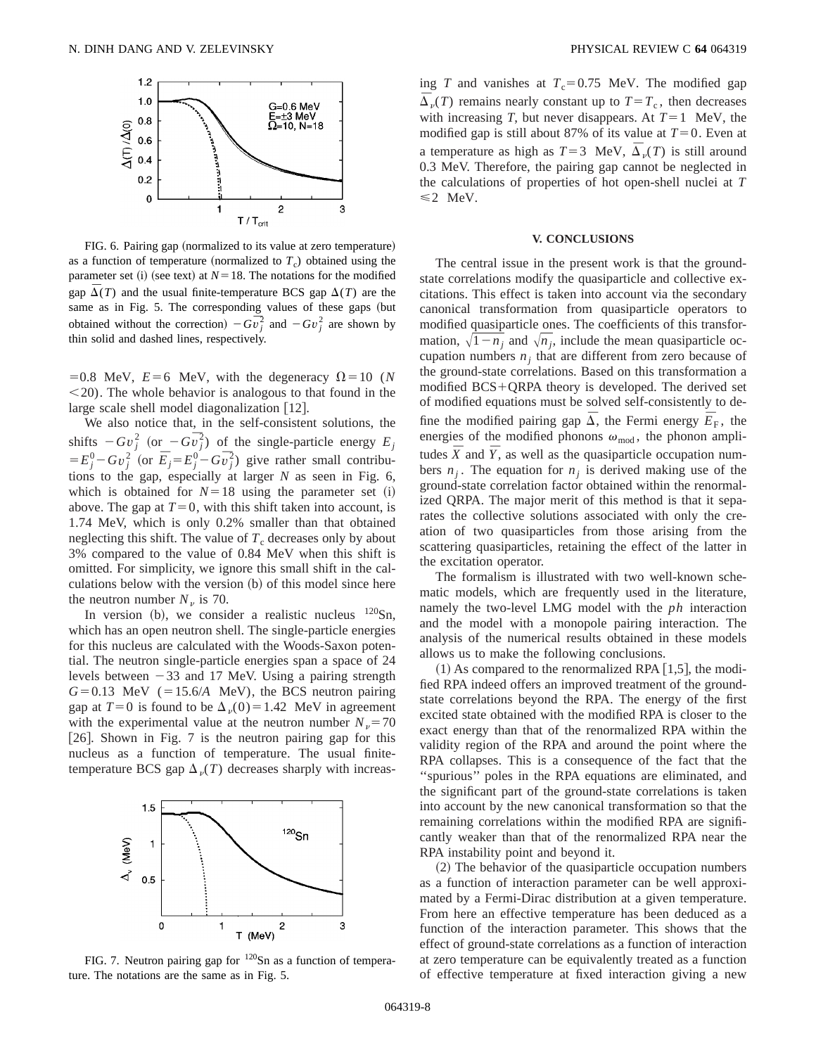

FIG. 6. Pairing gap (normalized to its value at zero temperature) as a function of temperature (normalized to  $T_c$ ) obtained using the parameter set (i) (see text) at  $N=18$ . The notations for the modified gap  $\overline{\Delta}(T)$  and the usual finite-temperature BCS gap  $\Delta(T)$  are the same as in Fig. 5. The corresponding values of these gaps (but obtained without the correction)  $-G\overline{v}_j^2$  and  $-Gv_j^2$  are shown by thin solid and dashed lines, respectively.

=0.8 MeV,  $E=6$  MeV, with the degeneracy  $\Omega=10$  (*N*  $\leq$ 20). The whole behavior is analogous to that found in the large scale shell model diagonalization  $[12]$ .

We also notice that, in the self-consistent solutions, the shifts  $-Gv_j^2$  (or  $-Gv_j^2$ ) of the single-particle energy  $E_j$  $E_j^0 - Gv_j^2$  (or  $\overline{E}_j = E_j^0 - G\overline{v}_j^2$ ) give rather small contributions to the gap, especially at larger *N* as seen in Fig. 6, which is obtained for  $N=18$  using the parameter set (i) above. The gap at  $T=0$ , with this shift taken into account, is 1.74 MeV, which is only 0.2% smaller than that obtained neglecting this shift. The value of  $T_c$  decreases only by about 3% compared to the value of 0.84 MeV when this shift is omitted. For simplicity, we ignore this small shift in the calculations below with the version  $(b)$  of this model since here the neutron number  $N_{\nu}$  is 70.

In version (b), we consider a realistic nucleus  $120\text{Sn}$ , which has an open neutron shell. The single-particle energies for this nucleus are calculated with the Woods-Saxon potential. The neutron single-particle energies span a space of 24 levels between  $-33$  and 17 MeV. Using a pairing strength  $G=0.13$  MeV ( $=15.6/A$  MeV), the BCS neutron pairing gap at  $T=0$  is found to be  $\Delta_v(0)=1.42$  MeV in agreement with the experimental value at the neutron number  $N_v = 70$ [26]. Shown in Fig. 7 is the neutron pairing gap for this nucleus as a function of temperature. The usual finitetemperature BCS gap  $\Delta_{\nu}(T)$  decreases sharply with increas-



FIG. 7. Neutron pairing gap for <sup>120</sup>Sn as a function of temperature. The notations are the same as in Fig. 5.

ing *T* and vanishes at  $T_c=0.75$  MeV. The modified gap  $\overline{\Delta}_{\nu}(T)$  remains nearly constant up to  $T=T_c$ , then decreases with increasing *T*, but never disappears. At  $T=1$  MeV, the modified gap is still about 87% of its value at  $T=0$ . Even at a temperature as high as  $T=3$  MeV,  $\overline{\Delta}_{v}(T)$  is still around 0.3 MeV. Therefore, the pairing gap cannot be neglected in the calculations of properties of hot open-shell nuclei at *T*  $\leq$  2 MeV.

#### **V. CONCLUSIONS**

The central issue in the present work is that the groundstate correlations modify the quasiparticle and collective excitations. This effect is taken into account via the secondary canonical transformation from quasiparticle operators to modified quasiparticle ones. The coefficients of this transformation,  $\sqrt{1-n_j}$  and  $\sqrt{n_j}$ , include the mean quasiparticle occupation numbers  $n_i$  that are different from zero because of the ground-state correlations. Based on this transformation a modified  $BCS+QRPA$  theory is developed. The derived set of modified equations must be solved self-consistently to define the modified pairing gap  $\overline{\Delta}$ , the Fermi energy  $\overline{E}_F$ , the energies of the modified phonons  $\omega_{mod}$ , the phonon amplitudes  $\bar{X}$  and  $\bar{Y}$ , as well as the quasiparticle occupation numbers  $n_j$ . The equation for  $n_j$  is derived making use of the ground-state correlation factor obtained within the renormalized QRPA. The major merit of this method is that it separates the collective solutions associated with only the creation of two quasiparticles from those arising from the scattering quasiparticles, retaining the effect of the latter in the excitation operator.

The formalism is illustrated with two well-known schematic models, which are frequently used in the literature, namely the two-level LMG model with the *ph* interaction and the model with a monopole pairing interaction. The analysis of the numerical results obtained in these models allows us to make the following conclusions.

 $(1)$  As compared to the renormalized RPA [1,5], the modified RPA indeed offers an improved treatment of the groundstate correlations beyond the RPA. The energy of the first excited state obtained with the modified RPA is closer to the exact energy than that of the renormalized RPA within the validity region of the RPA and around the point where the RPA collapses. This is a consequence of the fact that the ''spurious'' poles in the RPA equations are eliminated, and the significant part of the ground-state correlations is taken into account by the new canonical transformation so that the remaining correlations within the modified RPA are significantly weaker than that of the renormalized RPA near the RPA instability point and beyond it.

 $(2)$  The behavior of the quasiparticle occupation numbers as a function of interaction parameter can be well approximated by a Fermi-Dirac distribution at a given temperature. From here an effective temperature has been deduced as a function of the interaction parameter. This shows that the effect of ground-state correlations as a function of interaction at zero temperature can be equivalently treated as a function of effective temperature at fixed interaction giving a new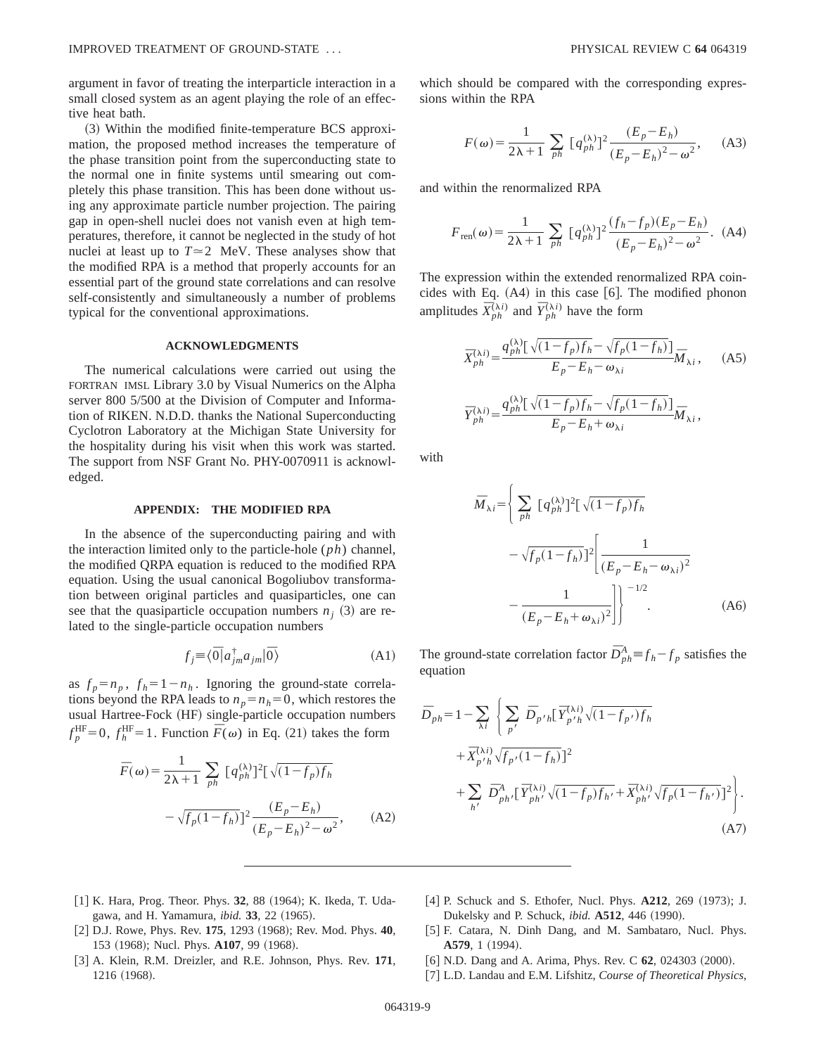argument in favor of treating the interparticle interaction in a small closed system as an agent playing the role of an effective heat bath.

(3) Within the modified finite-temperature BCS approximation, the proposed method increases the temperature of the phase transition point from the superconducting state to the normal one in finite systems until smearing out completely this phase transition. This has been done without using any approximate particle number projection. The pairing gap in open-shell nuclei does not vanish even at high temperatures, therefore, it cannot be neglected in the study of hot nuclei at least up to  $T \approx 2$  MeV. These analyses show that the modified RPA is a method that properly accounts for an essential part of the ground state correlations and can resolve self-consistently and simultaneously a number of problems typical for the conventional approximations.

## **ACKNOWLEDGMENTS**

The numerical calculations were carried out using the FORTRAN IMSL Library 3.0 by Visual Numerics on the Alpha server 800 5/500 at the Division of Computer and Information of RIKEN. N.D.D. thanks the National Superconducting Cyclotron Laboratory at the Michigan State University for the hospitality during his visit when this work was started. The support from NSF Grant No. PHY-0070911 is acknowledged.

### **APPENDIX: THE MODIFIED RPA**

In the absence of the superconducting pairing and with the interaction limited only to the particle-hole (*ph*) channel, the modified QRPA equation is reduced to the modified RPA equation. Using the usual canonical Bogoliubov transformation between original particles and quasiparticles, one can see that the quasiparticle occupation numbers  $n<sub>i</sub>$  (3) are related to the single-particle occupation numbers

$$
f_j \equiv \langle \overline{0} | a_{jm}^{\dagger} a_{jm} | \overline{0} \rangle \tag{A1}
$$

as  $f_p = n_p$ ,  $f_h = 1 - n_h$ . Ignoring the ground-state correlations beyond the RPA leads to  $n_p = n_h = 0$ , which restores the usual Hartree-Fock (HF) single-particle occupation numbers  $f_p^{\text{HF}}=0$ ,  $f_h^{\text{HF}}=1$ . Function  $\overline{F}(\omega)$  in Eq. (21) takes the form

$$
\overline{F}(\omega) = \frac{1}{2\lambda + 1} \sum_{ph} \left[ q_{ph}^{(\lambda)} \right]^2 \left[ \sqrt{(1 - f_p)f_h} \right]
$$

$$
- \sqrt{f_p (1 - f_h)} \left[ \frac{(E_p - E_h)}{(E_p - E_h)^2 - \omega^2} \right], \quad (A2)
$$

which should be compared with the corresponding expressions within the RPA

$$
F(\omega) = \frac{1}{2\lambda + 1} \sum_{ph} [q_{ph}^{(\lambda)}]^2 \frac{(E_p - E_h)}{(E_p - E_h)^2 - \omega^2}, \quad (A3)
$$

and within the renormalized RPA

$$
F_{\text{ren}}(\omega) = \frac{1}{2\lambda + 1} \sum_{ph} [q_{ph}^{(\lambda)}]^2 \frac{(f_h - f_p)(E_p - E_h)}{(E_p - E_h)^2 - \omega^2}.
$$
 (A4)

The expression within the extended renormalized RPA coincides with Eq.  $(A4)$  in this case  $[6]$ . The modified phonon amplitudes  $\overline{X}_{ph}^{(\lambda i)}$  and  $\overline{Y}_{ph}^{(\lambda i)}$  have the form

$$
\bar{X}_{ph}^{(\lambda i)} = \frac{q_{ph}^{(\lambda)} \left[ \sqrt{(1 - f_p)f_h} - \sqrt{f_p(1 - f_h)} \right]}{E_p - E_h - \omega_{\lambda i}} \bar{M}_{\lambda i}, \quad (A5)
$$
\n
$$
\bar{Y}_{ph}^{(\lambda i)} = \frac{q_{ph}^{(\lambda)} \left[ \sqrt{(1 - f_p)f_h} - \sqrt{f_p(1 - f_h)} \right]}{E_p - E_h + \omega_{\lambda i}} \bar{M}_{\lambda i},
$$

with

$$
\bar{M}_{\lambda i} = \left\{ \sum_{ph} \left[ q_{ph}^{(\lambda)} \right]^2 \left[ \sqrt{(1 - f_p) f_h} \right] - \sqrt{f_p (1 - f_h)} \right]^2 \left[ \frac{1}{\left( E_p - E_h - \omega_{\lambda i} \right)^2} - \frac{1}{\left( E_p - E_h + \omega_{\lambda i} \right)^2} \right] \right\}^{-1/2}.
$$
\n(A6)

The ground-state correlation factor  $\bar{D}_{ph}^A \equiv f_h - f_p$  satisfies the equation

$$
\bar{D}_{ph} = 1 - \sum_{\lambda i} \left\{ \sum_{p'} \bar{D}_{p'h} [\bar{Y}_{p'h}^{(\lambda i)} \sqrt{(1 - f_{p'}) f_h} + \bar{X}_{p'h}^{(\lambda i)} \sqrt{f_{p'} (1 - f_h)}]^2 + \sum_{h'} \bar{D}_{ph'}^A [\bar{Y}_{ph'}^{(\lambda i)} \sqrt{(1 - f_p) f_{h'}} + \bar{X}_{ph'}^{(\lambda i)} \sqrt{f_p (1 - f_{h'})} ]^2 \right\}.
$$
\n(A7)

- [1] K. Hara, Prog. Theor. Phys. 32, 88 (1964); K. Ikeda, T. Udagawa, and H. Yamamura, *ibid.* **33**, 22 (1965).
- [2] D.J. Rowe, Phys. Rev. 175, 1293 (1968); Rev. Mod. Phys. 40, 153 (1968); Nucl. Phys. **A107**, 99 (1968).
- [3] A. Klein, R.M. Dreizler, and R.E. Johnson, Phys. Rev. 171, 1216 (1968).
- [4] P. Schuck and S. Ethofer, Nucl. Phys. **A212**, 269 (1973); J. Dukelsky and P. Schuck, *ibid.* **A512**, 446 (1990).
- [5] F. Catara, N. Dinh Dang, and M. Sambataro, Nucl. Phys. A579, 1 (1994).
- [6] N.D. Dang and A. Arima, Phys. Rev. C **62**, 024303 (2000).
- [7] L.D. Landau and E.M. Lifshitz, *Course of Theoretical Physics*,